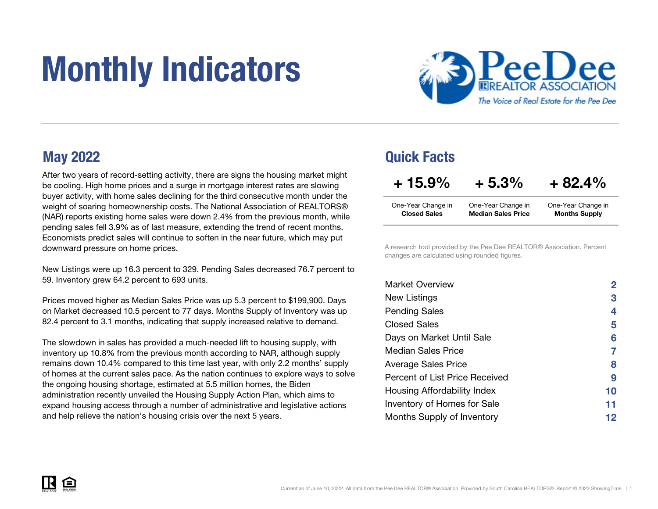# Monthly Indicators



After two years of record-setting activity, there are signs the housing market might be cooling. High home prices and a surge in mortgage interest rates are slowing buyer activity, with home sales declining for the third consecutive month under the weight of soaring homeownership costs. The National Association of REALTORS® (NAR) reports existing home sales were down 2.4% from the previous month, while pending sales fell 3.9% as of last measure, extending the trend of recent months. Economists predict sales will continue to soften in the near future, which may put downward pressure on home prices.

New Listings were up 16.3 percent to 329. Pending Sales decreased 76.7 percent to 59. Inventory grew 64.2 percent to 693 units.

Prices moved higher as Median Sales Price was up 5.3 percent to \$199,900. Days on Market decreased 10.5 percent to 77 days. Months Supply of Inventory was up 82.4 percent to 3.1 months, indicating that supply increased relative to demand.

The slowdown in sales has provided a much-needed lift to housing supply, with inventory up 10.8% from the previous month according to NAR, although supply remains down 10.4% compared to this time last year, with only 2.2 months' supply of homes at the current sales pace. As the nation continues to explore ways to solve the ongoing housing shortage, estimated at 5.5 million homes, the Biden administration recently unveiled the Housing Supply Action Plan, which aims to expand housing access through a number of administrative and legislative actions and help relieve the nation's housing crisis over the next 5 years.

### May 2022 Quick Facts

| $+15.9\%$           | $+5.3%$                   | $+82.4%$             |
|---------------------|---------------------------|----------------------|
| One-Year Change in  | One-Year Change in        | One-Year Change in   |
| <b>Closed Sales</b> | <b>Median Sales Price</b> | <b>Months Supply</b> |

A research tool provided by the Pee Dee REALTOR® Association. Percent changes are calculated using rounded figures.

| <b>Market Overview</b>             | $\mathbf{2}$ |
|------------------------------------|--------------|
| New Listings                       | 3            |
| <b>Pending Sales</b>               | 4            |
| Closed Sales                       | 5            |
| Days on Market Until Sale          | 6            |
| Median Sales Price                 |              |
| <b>Average Sales Price</b>         | 8            |
| Percent of List Price Received     | 9            |
| Housing Affordability Index        | 10           |
| <b>Inventory of Homes for Sale</b> | 11           |
| Months Supply of Inventory         | 12           |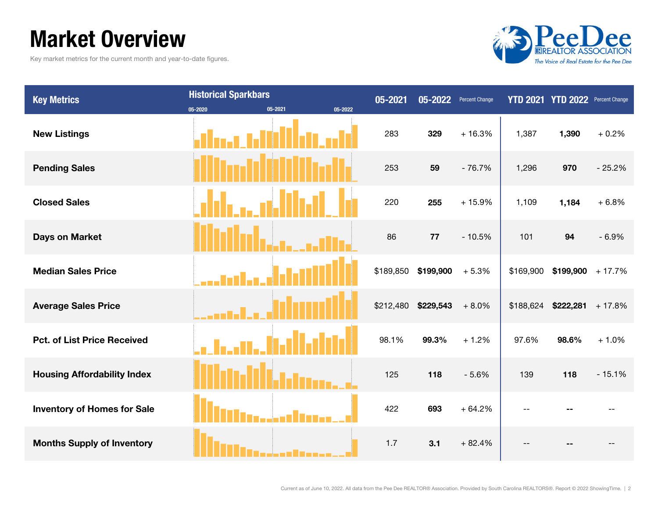### Market Overview

Key market metrics for the current month and year-to-date figures.



| <b>Key Metrics</b>                 | <b>Historical Sparkbars</b> |                    | 05-2021   | 05-2022   | <b>Percent Change</b> |           | YTD 2021 YTD 2022 Percent Change |          |
|------------------------------------|-----------------------------|--------------------|-----------|-----------|-----------------------|-----------|----------------------------------|----------|
|                                    | 05-2020                     | 05-2021<br>05-2022 |           |           |                       |           |                                  |          |
| <b>New Listings</b>                |                             |                    | 283       | 329       | $+16.3%$              | 1,387     | 1,390                            | $+0.2%$  |
| <b>Pending Sales</b>               |                             |                    | 253       | 59        | $-76.7%$              | 1,296     | 970                              | $-25.2%$ |
| <b>Closed Sales</b>                |                             |                    | 220       | 255       | $+15.9%$              | 1,109     | 1,184                            | $+6.8%$  |
| <b>Days on Market</b>              |                             |                    | 86        | 77        | $-10.5%$              | 101       | 94                               | $-6.9%$  |
| <b>Median Sales Price</b>          |                             |                    | \$189,850 | \$199,900 | $+5.3%$               | \$169,900 | $$199,900 + 17.7\%$              |          |
| <b>Average Sales Price</b>         |                             |                    | \$212,480 | \$229,543 | $+8.0%$               |           | $$188,624$ $$222,281$ + 17.8%    |          |
| <b>Pct. of List Price Received</b> |                             |                    | 98.1%     | 99.3%     | $+1.2%$               | 97.6%     | 98.6%                            | $+1.0%$  |
| <b>Housing Affordability Index</b> |                             |                    | 125       | 118       | $-5.6%$               | 139       | 118                              | $-15.1%$ |
| <b>Inventory of Homes for Sale</b> |                             |                    | 422       | 693       | $+64.2%$              |           |                                  |          |
| <b>Months Supply of Inventory</b>  |                             |                    | 1.7       | 3.1       | $+82.4%$              |           |                                  |          |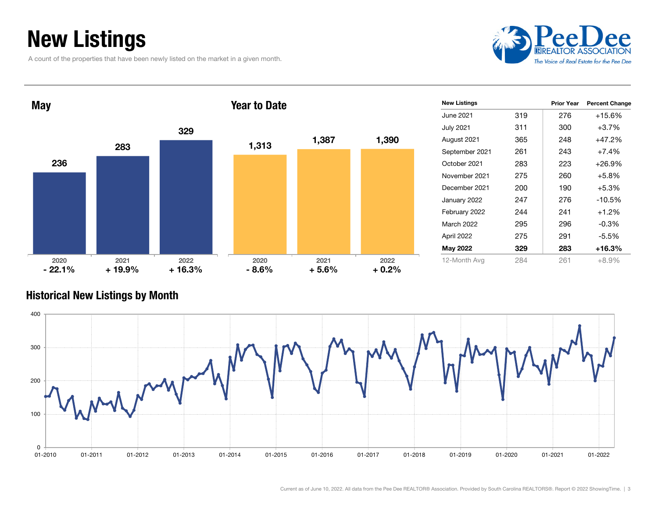### New Listings

A count of the properties that have been newly listed on the market in a given month.



| <b>May</b>       |                  |                  | <b>Year to Date</b> |                 |                 | <b>New Listings</b> |     | <b>Prior Year</b> | <b>Percent Change</b> |
|------------------|------------------|------------------|---------------------|-----------------|-----------------|---------------------|-----|-------------------|-----------------------|
|                  |                  |                  |                     |                 |                 | <b>June 2021</b>    | 319 | 276               | $+15.6%$              |
|                  |                  | 329              |                     |                 |                 | <b>July 2021</b>    | 311 | 300               | $+3.7%$               |
|                  |                  |                  | 1,313               | 1,387           | 1,390           | August 2021         | 365 | 248               | $+47.2%$              |
|                  | 283              |                  |                     |                 |                 | September 2021      | 261 | 243               | $+7.4%$               |
| 236              |                  |                  |                     |                 |                 | October 2021        | 283 | 223               | $+26.9%$              |
|                  |                  |                  |                     |                 |                 | November 2021       | 275 | 260               | $+5.8%$               |
|                  |                  |                  |                     |                 |                 | December 2021       | 200 | 190               | $+5.3%$               |
|                  |                  |                  |                     |                 |                 | January 2022        | 247 | 276               | $-10.5%$              |
|                  |                  |                  |                     |                 |                 | February 2022       | 244 | 241               | $+1.2%$               |
|                  |                  |                  |                     |                 |                 | March 2022          | 295 | 296               | $-0.3%$               |
|                  |                  |                  |                     |                 |                 | April 2022          | 275 | 291               | $-5.5%$               |
|                  |                  |                  |                     |                 |                 | May 2022            | 329 | 283               | $+16.3%$              |
| 2020<br>$-22.1%$ | 2021<br>$+19.9%$ | 2022<br>$+16.3%$ | 2020<br>$-8.6%$     | 2021<br>$+5.6%$ | 2022<br>$+0.2%$ | 12-Month Avg        | 284 | 261               | $+8.9%$               |

#### Historical New Listings by Month

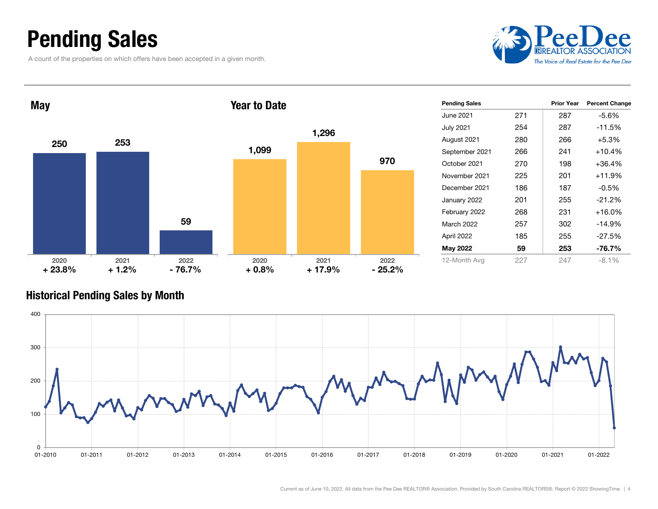### Pending Sales

A count of the properties on which offers have been accepted in a given month.



| <b>May</b>       |                 |                  | <b>Year to Date</b> |                  |                   | <b>Pending Sales</b> |     | <b>Prior Year</b> | <b>Percent Change</b> |
|------------------|-----------------|------------------|---------------------|------------------|-------------------|----------------------|-----|-------------------|-----------------------|
|                  |                 |                  |                     |                  |                   | June 2021            | 271 | 287               | $-5.6%$               |
|                  |                 |                  |                     | 1,296            |                   | <b>July 2021</b>     | 254 | 287               | $-11.5%$              |
| 250              | 253             |                  |                     |                  |                   | August 2021          | 280 | 266               | $+5.3%$               |
|                  |                 |                  | 1,099               |                  |                   | September 2021       | 266 | 241               | $+10.4%$              |
|                  |                 |                  |                     |                  | 970               | October 2021         | 270 | 198               | $+36.4%$              |
|                  |                 |                  |                     |                  |                   | November 2021        | 225 | 201               | $+11.9%$              |
|                  |                 |                  |                     |                  |                   | December 2021        | 186 | 187               | $-0.5%$               |
|                  |                 |                  |                     |                  |                   | January 2022         | 201 | 255               | $-21.2%$              |
|                  |                 |                  |                     |                  |                   | February 2022        | 268 | 231               | $+16.0%$              |
|                  |                 | 59               |                     |                  |                   | March 2022           | 257 | 302               | $-14.9%$              |
|                  |                 |                  |                     |                  |                   | April 2022           | 185 | 255               | $-27.5%$              |
|                  |                 |                  |                     |                  |                   | May 2022             | 59  | 253               | $-76.7%$              |
| 2020<br>$+23.8%$ | 2021<br>$+1.2%$ | 2022<br>$-76.7%$ | 2020<br>$+0.8%$     | 2021<br>$+17.9%$ | 2022<br>$-25.2\%$ | 12-Month Avg         | 227 | 247               | $-8.1%$               |

#### Historical Pending Sales by Month

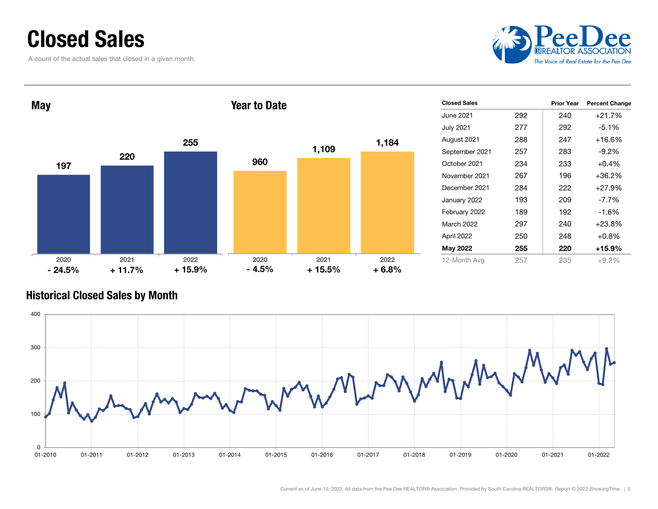### Closed Sales

A count of the actual sales that closed in a given month.



| <b>May</b> |          |          | <b>Year to Date</b> |          |         | <b>Closed Sales</b> |     | <b>Prior Year</b> | <b>Percent Change</b> |
|------------|----------|----------|---------------------|----------|---------|---------------------|-----|-------------------|-----------------------|
|            |          |          |                     |          |         | <b>June 2021</b>    | 292 | 240               | +21.7%                |
|            |          |          |                     |          |         | <b>July 2021</b>    | 277 | 292               | $-5.1%$               |
|            |          | 255      |                     |          | 1,184   | August 2021         | 288 | 247               | $+16.6%$              |
|            | 220      |          |                     | 1,109    |         | September 2021      | 257 | 283               | $-9.2%$               |
| 197        |          |          | 960                 |          |         | October 2021        | 234 | 233               | $+0.4%$               |
|            |          |          |                     |          |         | November 2021       | 267 | 196               | $+36.2%$              |
|            |          |          |                     |          |         | December 2021       | 284 | 222               | $+27.9%$              |
|            |          |          |                     |          |         | January 2022        | 193 | 209               | $-7.7%$               |
|            |          |          |                     |          |         | February 2022       | 189 | 192               | $-1.6%$               |
|            |          |          |                     |          |         | March 2022          | 297 | 240               | $+23.8%$              |
|            |          |          |                     |          |         | April 2022          | 250 | 248               | $+0.8%$               |
|            |          |          |                     |          |         | May 2022            | 255 | 220               | $+15.9%$              |
| 2020       | 2021     | 2022     | 2020                | 2021     | 2022    | 12-Month Avg        | 257 | 235               | $+9.2%$               |
| $-24.5%$   | $+11.7%$ | $+15.9%$ | $-4.5%$             | $+15.5%$ | $+6.8%$ |                     |     |                   |                       |

#### Historical Closed Sales by Month

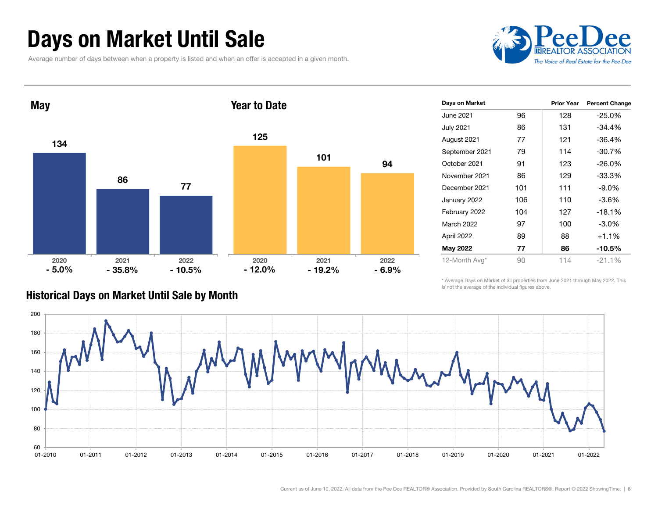### Days on Market Until Sale

Average number of days between when a property is listed and when an offer is accepted in a given month.





| Days on Market   |     | <b>Prior Year</b> | <b>Percent Change</b> |
|------------------|-----|-------------------|-----------------------|
| June 2021        | 96  | 128               | $-25.0%$              |
| <b>July 2021</b> | 86  | 131               | $-34.4%$              |
| August 2021      | 77  | 121               | $-36.4%$              |
| September 2021   | 79  | 114               | $-30.7%$              |
| October 2021     | 91  | 123               | $-26.0\%$             |
| November 2021    | 86  | 129               | $-33.3\%$             |
| December 2021    | 101 | 111               | $-9.0\%$              |
| January 2022     | 106 | 110               | $-3.6\%$              |
| February 2022    | 104 | 127               | $-18.1%$              |
| March 2022       | 97  | 100               | $-3.0\%$              |
| April 2022       | 89  | 88                | $+1.1%$               |
| May 2022         | 77  | 86                | $-10.5%$              |
| 12-Month Avg*    | 90  | 114               | $-21.1\%$             |

#### Historical Days on Market Until Sale by Month

\* Average Days on Market of all properties from June 2021 through May 2022. This is not the average of the individual figures above.

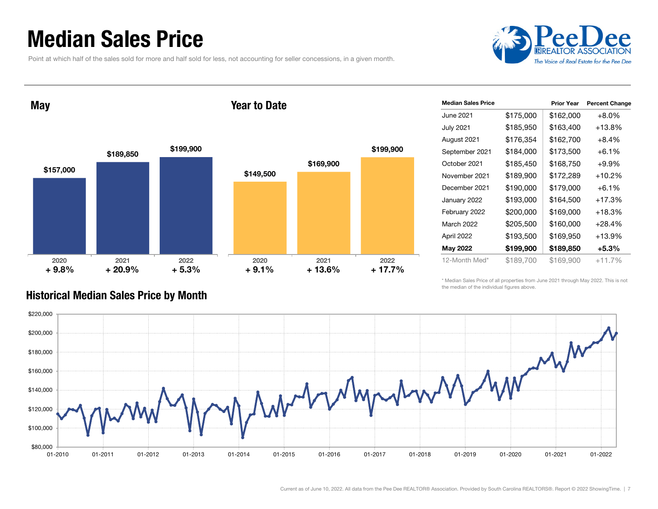### Median Sales Price

Point at which half of the sales sold for more and half sold for less, not accounting for seller concessions, in a given month.



May

#### Year to Date



| <b>Median Sales Price</b> |           | <b>Prior Year</b> | <b>Percent Change</b> |
|---------------------------|-----------|-------------------|-----------------------|
| June 2021                 | \$175,000 | \$162,000         | $+8.0%$               |
| <b>July 2021</b>          | \$185,950 | \$163,400         | +13.8%                |
| August 2021               | \$176,354 | \$162,700         | $+8.4\%$              |
| September 2021            | \$184,000 | \$173,500         | $+6.1\%$              |
| October 2021              | \$185,450 | \$168,750         | $+9.9%$               |
| November 2021             | \$189,900 | \$172,289         | $+10.2%$              |
| December 2021             | \$190,000 | \$179,000         | $+6.1%$               |
| January 2022              | \$193,000 | \$164,500         | $+17.3%$              |
| February 2022             | \$200,000 | \$169,000         | $+18.3%$              |
| <b>March 2022</b>         | \$205,500 | \$160,000         | $+28.4%$              |
| April 2022                | \$193,500 | \$169,950         | $+13.9%$              |
| May 2022                  | \$199,900 | \$189,850         | +5.3%                 |
| 12-Month Med*             | \$189,700 | \$169,900         | $+11.7%$              |

\* Median Sales Price of all properties from June 2021 through May 2022. This is not the median of the individual figures above.



#### Historical Median Sales Price by Month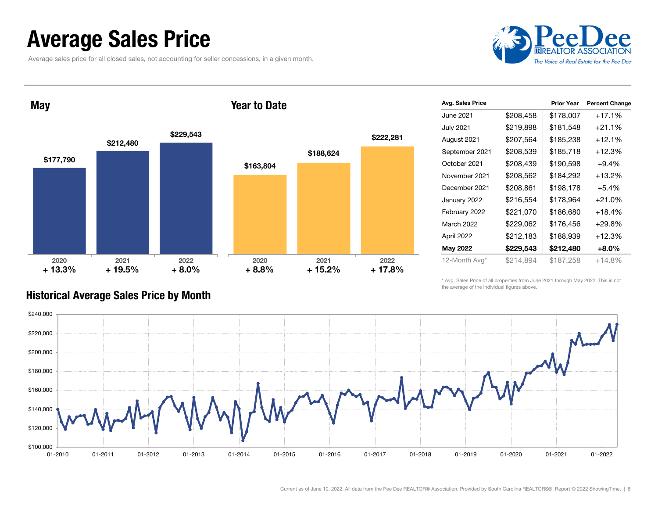### Average Sales Price

Average sales price for all closed sales, not accounting for seller concessions, in a given month.



May

#### Year to Date



|           | <b>Prior Year</b> | <b>Percent Change</b> |
|-----------|-------------------|-----------------------|
| \$208,458 | \$178,007         | $+17.1%$              |
| \$219,898 | \$181,548         | $+21.1%$              |
| \$207,564 | \$185,238         | $+12.1%$              |
| \$208,539 | \$185,718         | $+12.3%$              |
| \$208,439 | \$190,598         | $+9.4%$               |
| \$208,562 | \$184,292         | $+13.2%$              |
| \$208,861 | \$198,178         | $+5.4%$               |
| \$216,554 | \$178,964         | $+21.0%$              |
| \$221,070 | \$186,680         | $+18.4%$              |
| \$229,062 | \$176,456         | $+29.8%$              |
| \$212,183 | \$188,939         | $+12.3%$              |
| \$229,543 | \$212,480         | $+8.0\%$              |
| \$214.894 | \$187.258         | $+14.8%$              |
|           |                   |                       |

\* Avg. Sales Price of all properties from June 2021 through May 2022. This is not the average of the individual figures above.



#### Historical Average Sales Price by Month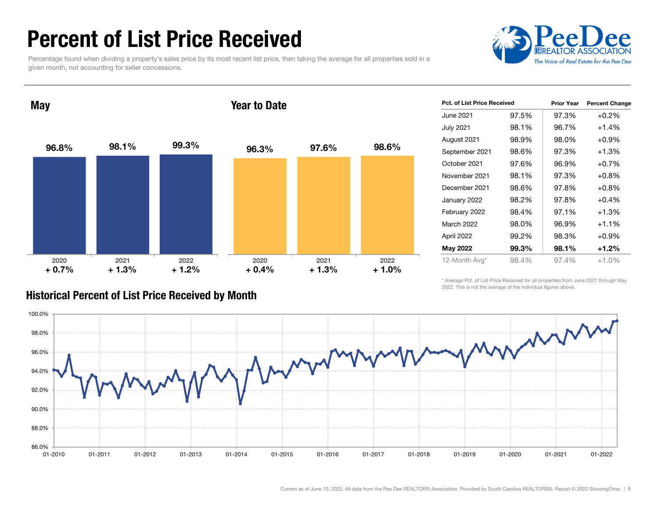### Percent of List Price Received

Percentage found when dividing a property's sales price by its most recent list price, then taking the average for all properties sold in a given month, not accounting for seller concessions.



96.8% 98.1% 99.3% 2020 2021 2022 **May** 96.3% 97.6% 98.6% 2020 2021 2022 Year to Date $+ 0.7\%$   $+ 1.3\%$   $+ 1.2\%$   $+ 0.4\%$ + 1.3% + 1.2% + 1.3% + 1.0%

| <b>Pct. of List Price Received</b> |       | <b>Prior Year</b> | <b>Percent Change</b> |
|------------------------------------|-------|-------------------|-----------------------|
| June 2021                          | 97.5% | 97.3%             | $+0.2%$               |
| <b>July 2021</b>                   | 98.1% | 96.7%             | $+1.4%$               |
| August 2021                        | 98.9% | 98.0%             | $+0.9\%$              |
| September 2021                     | 98.6% | 97.3%             | +1.3%                 |
| October 2021                       | 97.6% | 96.9%             | $+0.7%$               |
| November 2021                      | 98.1% | 97.3%             | $+0.8%$               |
| December 2021                      | 98.6% | 97.8%             | $+0.8%$               |
| January 2022                       | 98.2% | 97.8%             | $+0.4%$               |
| February 2022                      | 98.4% | 97.1%             | +1.3%                 |
| March 2022                         | 98.0% | 96.9%             | $+1.1%$               |
| April 2022                         | 99.2% | 98.3%             | $+0.9\%$              |
| May 2022                           | 99.3% | 98.1%             | $+1.2%$               |
| 12-Month Avg*                      | 98.4% | 97.4%             | $+1.0%$               |

#### Historical Percent of List Price Received by Month

\* Average Pct. of List Price Received for all properties from June 2021 through May 2022. This is not the average of the individual figures above.

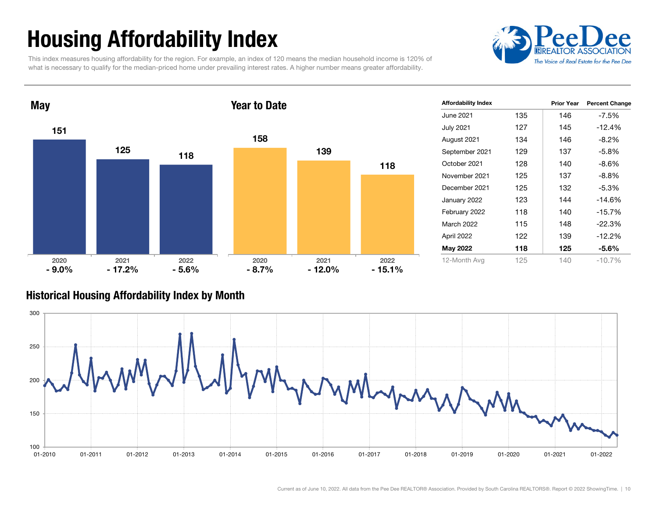## Housing Affordability Index

This index measures housing affordability for the region. For example, an index of 120 means the median household income is 120% of what is necessary to qualify for the median-priced home under prevailing interest rates. A higher number means greater affordability.





| <b>Affordability Index</b> |     | <b>Prior Year</b> | <b>Percent Change</b> |
|----------------------------|-----|-------------------|-----------------------|
| June 2021                  | 135 | 146               | $-7.5%$               |
| <b>July 2021</b>           | 127 | 145               | $-12.4%$              |
| August 2021                | 134 | 146               | $-8.2\%$              |
| September 2021             | 129 | 137               | $-5.8\%$              |
| October 2021               | 128 | 140               | $-8.6\%$              |
| November 2021              | 125 | 137               | $-8.8\%$              |
| December 2021              | 125 | 132               | $-5.3%$               |
| January 2022               | 123 | 144               | $-14.6%$              |
| February 2022              | 118 | 140               | $-15.7\%$             |
| March 2022                 | 115 | 148               | $-22.3%$              |
| April 2022                 | 122 | 139               | $-12.2%$              |
| May 2022                   | 118 | 125               | -5.6%                 |
| 12-Month Avg               | 125 | 140               | $-10.7%$              |

#### Historical Housing Affordability Index by Mont h

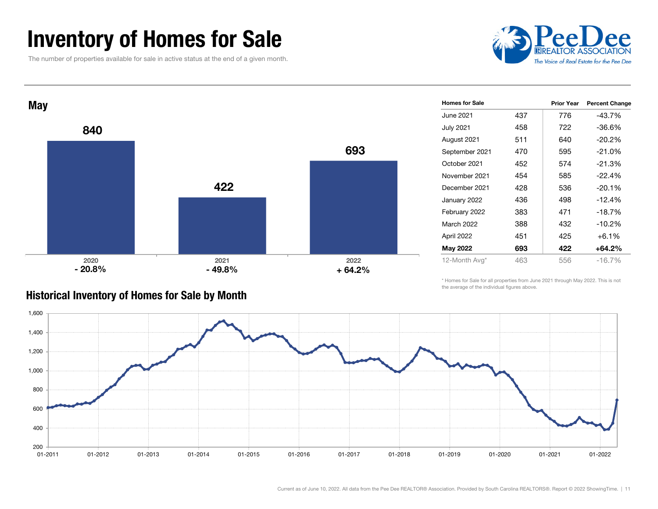### Inventory of Homes for Sale

The number of properties available for sale in active status at the end of a given month.





| <b>Homes for Sale</b> |     | <b>Prior Year</b> | <b>Percent Change</b> |
|-----------------------|-----|-------------------|-----------------------|
| June 2021             | 437 | 776               | -43.7%                |
| <b>July 2021</b>      | 458 | 722               | $-36.6\%$             |
| August 2021           | 511 | 640               | $-20.2\%$             |
| September 2021        | 470 | 595               | -21.0%                |
| October 2021          | 452 | 574               | $-21.3%$              |
| November 2021         | 454 | 585               | $-22.4%$              |
| December 2021         | 428 | 536               | $-20.1%$              |
| January 2022          | 436 | 498               | $-12.4%$              |
| February 2022         | 383 | 471               | $-18.7%$              |
| March 2022            | 388 | 432               | $-10.2%$              |
| April 2022            | 451 | 425               | $+6.1%$               |
| <b>May 2022</b>       | 693 | 422               | $+64.2%$              |
| 12-Month Avg*         | 463 | 556               | $-16.7%$              |

#### Historical Inventory of Homes for Sale by Month

\* Homes for Sale for all properties from June 2021 through May 2022. This is not the average of the individual figures above.